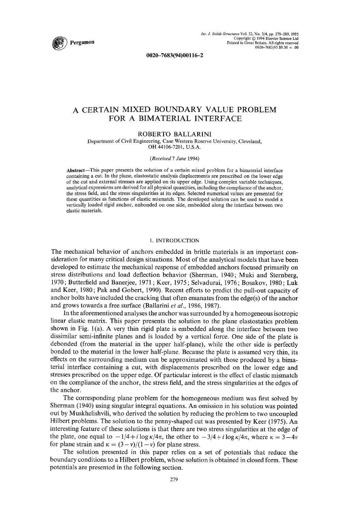

0020-7683(94) 00116-2

# A CERTAIN MIXED BOUNDARY VALUE PROBLEM FOR A BIMATERIAL INTERFACE

# ROBERTO BALLARINI

Department of Civil Engineering, Case Western Reserve University, Cleveland, OH 44106-7201, U.S.A.

#### *(Received 7 June* 1994)

Abstract--This paper presents the solution of a certain mixed problem for a bimaterial interface containing a cut. In the plane, elastostatic analysis displacements are prescribed on the lower edge of the cut and external stresses are applied on its upper edge. Using complex variable techniques, analytical expressions are derived for all physical quantities, including the compliance of the anchor, the stress field, and the stress singularities at its edges. Selected numerical values are presented for these quantities as functions of elastic mismatch. The developed solution can be used to model a vertically loaded rigid anchor, unbonded on one side, embedded along the interface between two elastic materials.

#### 1. INTRODUCTION

The mechanical behavior of anchors embedded in brittle materials is an important consideration for many critical design situations. Most of the analytical models that have been developed to estimate the mechanical response of embedded anchors focused primarily on stress distributions and load deflection behavior (Sherman, 1940; Muki and Sternberg, 1970 ; Butterfield and Banerjee, 1971 ; Keer, 1975 ; Selvadurai, 1976 ; Bosakov, 1980 ; Luk and Keer, 1980 ; Pak and Gobert, 1990). Recent efforts to predict the pull-out capacity of anchor bolts have included the cracking that often emanates from the edge(s) of the anchor and grows towards a free surface (Ballarini *et al.,* 1986, 1987).

In the aforementioned analyses the anchor was surrounded by a homogeneous isotropic linear elastic matrix. This paper presents the solution to the plane elastostatics problem shown in Fig.  $1(a)$ . A very thin rigid plate is embedded along the interface between two dissimilar semi-infinite planes and is loaded by a vertical force. One side of the plate is debonded (from the material in the upper half-plane), while the other side is perfectly bonded to the material in the lower half-plane. Because the plate is assumed very thin, its effects on the surrounding medium can be approximated with those produced by a bimaterial interface containing a cut, with displacements prescribed on the lower edge and stresses prescribed on the upper edge. Of particular interest is the effect of elastic mismatch on the compliance of the anchor, the stress field, and the stress singularities at the edges of the anchor.

The corresponding plane problem for the homogeneous medium was first solved by Sherman (1940) using singular integral equations. An omission in his solution was pointed out by Muskhelishvili, who derived the solution by reducing the problem to two uncoupled Hilbert problems. The solution to the penny-shaped cut was presented by Keer (1975). An interesting feature of these solutions is that there are two stress singularities at the edge of the plate, one equal to  $-1/4 + i \log \frac{\kappa}{4\pi}$ , the other to  $-3/4 + i \log \frac{\kappa}{4\pi}$ , where  $\kappa = 3-4\nu$ for plane strain and  $\kappa = (3-v)/(1-v)$  for plane stress.

The solution presented in this paper relies on a set of potentials that reduce the boundary conditions to a Hilbert problem, whose solution is obtained in closed form. These potentials are presented in the following section.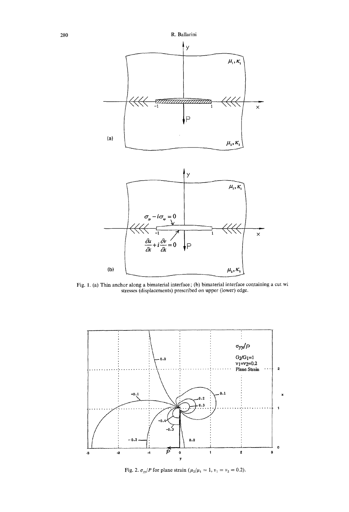

Fig. 1. (a) Thin anchor along a bimaterial interface ; (b) bimaterial interface containing a cut wi stresses (displacements) prescribed on upper (lower) edge.



Fig. 2.  $\sigma_{yy}/P$  for plane strain ( $\mu_2/\mu_1 = 1$ ,  $v_1 = v_2 = 0.2$ ).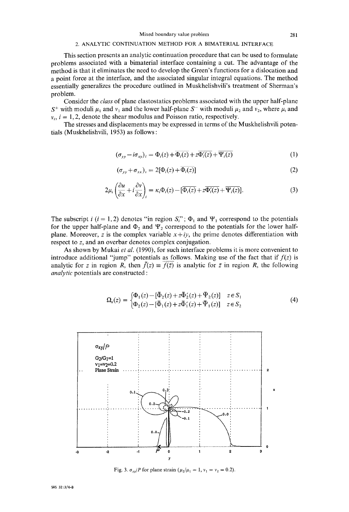# 2. ANALYTIC CONTINUATION METHOD FOR A BIMATERIAL INTERFACE

This section presents an analytic continuation procedure that can be used to formulate problems associated with a bimaterial interface containing a cut. The advantage of the method is that it eliminates the need to develop the Green's functions for a dislocation and a point force at the interface, and the associated singular integral equations. The method essentially generalizes the procedure outlined in Muskhelishvili's treatment of Sherman's problem.

Consider the *class* of plane elastostatics problems associated with the upper half-plane  $S^+$  with moduli  $\mu_1$  and  $\nu_1$  and the lower half-plane  $S^-$  with moduli  $\mu_2$  and  $\nu_2$ , where  $\mu_i$  and  $v_i$ ,  $i = 1, 2$ , denote the shear modulus and Poisson ratio, respectively.

The stresses and displacements may be expressed in terms of the Muskhelishvili potentials (Muskhelishvili, 1953) as follows:

$$
(\sigma_{yy} - i\sigma_{xy})_i = \Phi_i(z) + \overline{\Phi_i(z)} + z\overline{\Phi_i'(z)} + \overline{\Psi_i(z)}
$$
(1)

$$
(\sigma_{yy} + \sigma_{xx})_i = 2[\Phi_i(z) + \overline{\Phi_i(z)}]
$$
\n(2)

$$
2\mu_i \left( \frac{\partial u}{\partial x} + i \frac{\partial v}{\partial x} \right)_i = \kappa_i \Phi_i(z) - [\overline{\Phi_i(z)} + z \overline{\Phi'_i(z)} + \overline{\Psi_i(z)}]. \tag{3}
$$

The subscript *i* (*i* = 1, 2) denotes "in region  $S_i$ ";  $\Phi_1$  and  $\Psi_1$  correspond to the potentials for the upper half-plane and  $\Phi_2$  and  $\Psi_2$  correspond to the potentials for the lower halfplane. Moreover, z is the complex variable  $x + iy$ , the prime denotes differentiation with respect to z, and an overbar denotes complex conjugation.

As shown by Mukai *et al.* (1990), for such interface problems it is more convenient to introduce additional "jump" potentials as follows. Making use of the fact that if  $f(z)$  is analytic for z in region R, then  $\bar{f}(z) = \bar{f}(\bar{z})$  is analytic for  $\bar{z}$  in region R, the following *analytic* potentials are constructed :

$$
\Omega_{\rm s}(z) = \begin{cases} \Phi_1(z) - [\bar{\Phi}_2(z) + z\bar{\Phi}_2'(z) + \bar{\Psi}_2(z)] & z \in S_1 \\ \Phi_2(z) - [\bar{\Phi}_1(z) + z\bar{\Phi}_1'(z) + \bar{\Psi}_1(z)] & z \in S_2 \end{cases} \tag{4}
$$



Fig. 3.  $\sigma_{xy}/P$  for plane strain ( $\mu_2/\mu_1 = 1$ ,  $v_1 = v_2 = 0.2$ ).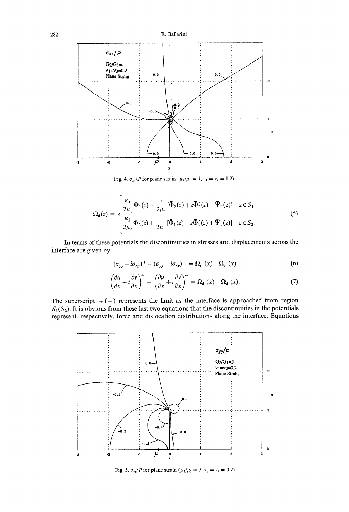

Fig. 4.  $\sigma_{xx}/P$  for plane strain ( $\mu_2/\mu_1 = 1$ ,  $v_1 = v_2 = 0.2$ ).

$$
\Omega_{d}(z) = \begin{cases} \frac{\kappa_{1}}{2\mu_{1}}\Phi_{1}(z) + \frac{1}{2\mu_{2}}[\bar{\Phi}_{2}(z) + z\bar{\Phi}_{2}'(z) + \bar{\Psi}_{2}(z)] & z \in S_{1} \\ \frac{\kappa_{2}}{2\mu_{2}}\Phi_{2}(z) + \frac{1}{2\mu_{1}}[\bar{\Phi}_{1}(z) + z\bar{\Phi}_{1}'(z) + \bar{\Psi}_{1}(z)] & z \in S_{2} .\end{cases} \tag{5}
$$

In terms of these potentials the discontinuities in stresses and displacements across the interface are given by

$$
(\sigma_{yy}-i\sigma_{xy})^+ - (\sigma_{yy}-i\sigma_{xy})^- = \Omega_s^+(x) - \Omega_s^-(x)
$$
 (6)

$$
\left(\frac{\partial u}{\partial x} + i\frac{\partial v}{\partial x}\right)^+ - \left(\frac{\partial u}{\partial x} + i\frac{\partial v}{\partial x}\right)^- = \Omega_d^+(x) - \Omega_d^-(x). \tag{7}
$$

The superscript  $+(-)$  represents the limit as the interface is approached from region  $S_1(S_2)$ . It is obvious from these last two equations that the discontinuities in the potentials represent, respectively, force and dislocation distributions along the interface. Equations



Fig. 5.  $\sigma_{yy}/P$  for plane strain ( $\mu_2/\mu_1 = 5$ ,  $\nu_1 = \nu_2 = 0.2$ ).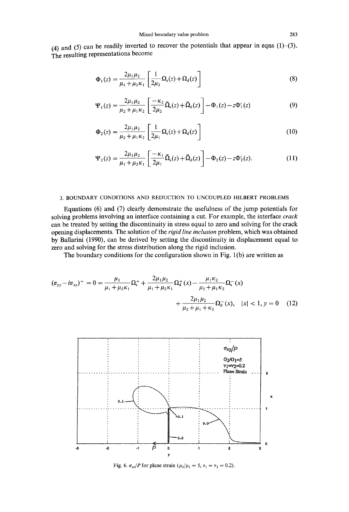(4) and (5) can be readily inverted to recover the potentials that appear in eqns  $(1)-(3)$ . The resulting representations become

$$
\Phi_1(z) = \frac{2\mu_1\mu_2}{\mu_1 + \mu_2\kappa_1} \left[ \frac{1}{2\mu_2} \Omega_s(z) + \Omega_d(z) \right]
$$
 (8)

$$
\Psi_1(z) = \frac{2\mu_1\mu_2}{\mu_2 + \mu_1\kappa_2} \left[ \frac{-\kappa_2}{2\mu_2} \bar{\Omega}_s(z) + \bar{\Omega}_d(z) \right] - \Phi_1(z) - z\Phi_1'(z)
$$
(9)

$$
\Phi_2(z) = \frac{2\mu_1\mu_2}{\mu_2 + \mu_1\kappa_2} \left[ \frac{1}{2\mu_1} \Omega_s(z) + \Omega_d(z) \right]
$$
(10)

$$
\Psi_2(z) = \frac{2\mu_1\mu_2}{\mu_1 + \mu_2\kappa_1} \left[ \frac{-\kappa_1}{2\mu_1} \bar{\Omega}_s(z) + \bar{\Omega}_d(z) \right] - \Phi_2(z) - z\Phi'_2(z). \tag{11}
$$

# 3. BOUNDARY CONDITIONS AND REDUCTION TO UNCOUPLED HILBERT PROBLEMS

Equations (6) and (7) clearly demonstrate the usefulness of the jump potentials for solving problems involving an interface containing a cut. For example, the interface *crack*  can be treated by setting the discontinuity in stress equal to zero and solving for the crack opening displacements. The solution of the *rigid line inclusion* problem, which was obtained by Ballarini (1990), can be derived by setting the discontinuity in displacement equal to zero and solving for the stress distribution along the rigid inclusion.

The boundary conditions for the configuration shown in Fig. 1(b) are written as

$$
(\sigma_{yy} - i\sigma_{xy})^{+} = 0 = \frac{\mu_{1}}{\mu_{1} + \mu_{2}\kappa_{1}} \Omega_{s}^{+} + \frac{2\mu_{1}\mu_{2}}{\mu_{1} + \mu_{2}\kappa_{1}} \Omega_{d}^{+}(x) - \frac{\mu_{1}\kappa_{2}}{\mu_{2} + \mu_{1}\kappa_{2}} \Omega_{s}^{-}(x) + \frac{2\mu_{1}\mu_{2}}{\mu_{2} + \mu_{1} + \kappa_{2}} \Omega_{d}^{-}(x), \quad |x| < 1, y = 0 \tag{12}
$$



Fig. 6.  $\sigma_{xy}/P$  for plane strain ( $\mu_2/\mu_1 = 5$ ,  $\nu_1 = \nu_2 = 0.2$ ).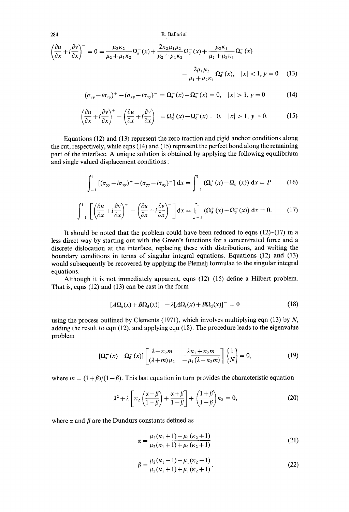284 R. Ballarini

$$
\left(\frac{\partial u}{\partial x} + i\frac{\partial v}{\partial x}\right)^{-} = 0 = \frac{\mu_{2}\kappa_{2}}{\mu_{2} + \mu_{1}\kappa_{2}}\Omega_{s}^{-}(x) + \frac{2\kappa_{2}\mu_{1}\mu_{2}}{\mu_{2} + \mu_{1}\kappa_{2}}\Omega_{d}^{-}(x) + \frac{\mu_{2}\kappa_{1}}{\mu_{1} + \mu_{2}\kappa_{1}}\Omega_{s}^{+}(x) - \frac{2\mu_{1}\mu_{2}}{\mu_{1} + \mu_{2}\kappa_{1}}\Omega_{d}^{+}(x), \quad |x| < 1, y = 0 \quad (13)
$$

$$
(\sigma_{yy}-i\sigma_{xy})^+ - (\sigma_{yy}-i\sigma_{xy})^- = \Omega_s^+(x) - \Omega_s^-(x) = 0, \quad |x| > 1, y = 0 \tag{14}
$$

$$
\left(\frac{\partial u}{\partial x} + i\frac{\partial v}{\partial x}\right)^+ - \left(\frac{\partial u}{\partial x} + i\frac{\partial v}{\partial x}\right)^- = \Omega_d^+(x) - \Omega_d^-(x) = 0, \quad |x| > 1, \ y = 0.
$$
 (15)

Equations (12) and (13) represent the zero traction and rigid anchor conditions along the cut, respectively, while eqns (14) and (15) represent the perfect bond along the remaining part of the interface. A unique solution is obtained by applying the following equilibrium and single valued displacement conditions :

$$
\int_{-1}^{1} \left[ (\sigma_{yy} - i \sigma_{xy})^{+} - (\sigma_{yy} - i \sigma_{xy})^{-} \right] dx = \int_{-1}^{1} (\Omega_{s}^{+}(x) - \Omega_{s}^{-}(x)) dx = P \qquad (16)
$$

$$
\int_{-1}^{1} \left[ \left( \frac{\partial u}{\partial x} + i \frac{\partial v}{\partial x} \right)^{+} - \left( \frac{\partial u}{\partial x} + i \frac{\partial v}{\partial x} \right)^{-} \right] dx = \int_{-1}^{1} \left( \Omega_{d}^{+}(x) - \Omega_{d}^{-}(x) \right) dx = 0. \tag{17}
$$

It should be noted that the problem could have been reduced to eqns  $(12)$ – $(17)$  in a less direct way by starting out with the Green's functions for a concentrated force and a discrete dislocation at the interface, replacing these with distributions, and writing the boundary conditions in terms of singular integral equations. Equations (12) and (13) would subsequently be recovered by applying the Plemelj formulae to the singular integral equations.

Although it is not immediately apparent, eqns  $(12)$ - $(15)$  define a Hilbert problem. That is, eqns (12) and (13) can be cast in the form

$$
[A\Omega_{\rm s}(x) + B\Omega_{\rm d}(x)]^+ - \lambda [A\Omega_{\rm s}(x) + B\Omega_{\rm d}(x)]^- = 0 \qquad (18)
$$

using the process outlined by Clements (1971), which involves multiplying eqn (13) by  $N$ , adding the result to eqn (12), and applying eqn (18). The procedure leads to the eigenvalue problem

$$
\left[\Omega_s^-(x) \quad \Omega_d^-(x)\right] \begin{bmatrix} \lambda - \kappa_2 m & \lambda \kappa_1 + \kappa_2 m \\ \lambda + m\mu_2 & -\mu_1(\lambda - \kappa_2 m) \end{bmatrix} \begin{Bmatrix} 1 \\ N \end{Bmatrix} = 0,\tag{19}
$$

where  $m = (1 + \beta)/(1 - \beta)$ . This last equation in turn provides the characteristic equation

$$
\lambda^2 + \lambda \left[ \kappa_2 \left( \frac{\alpha - \beta}{1 - \beta} \right) + \frac{\alpha + \beta}{1 - \beta} \right] + \left( \frac{1 + \beta}{1 - \beta} \right) \kappa_2 = 0, \tag{20}
$$

where  $\alpha$  and  $\beta$  are the Dundurs constants defined as

$$
\alpha = \frac{\mu_2(\kappa_1 + 1) - \mu_1(\kappa_2 + 1)}{\mu_2(\kappa_1 + 1) + \mu_1(\kappa_2 + 1)}\tag{21}
$$

$$
\beta = \frac{\mu_2(\kappa_1 - 1) - \mu_1(\kappa_2 - 1)}{\mu_2(\kappa_1 + 1) + \mu_1(\kappa_2 + 1)}.
$$
\n(22)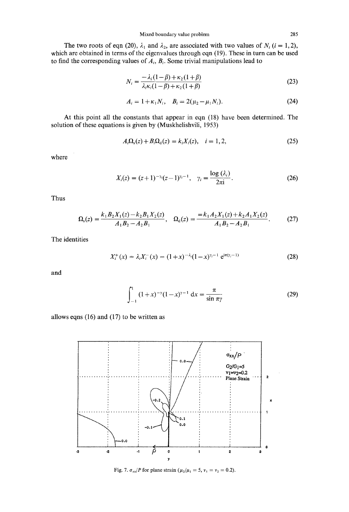The two roots of eqn (20),  $\lambda_1$  and  $\lambda_2$ , are associated with two values of  $N_i$  (i = 1, 2), which are obtained in terms of the eigenvalues through eqn (19). These in turn can be used to find the corresponding values of  $A_i$ ,  $B_i$ . Some trivial manipulations lead to

$$
N_i = \frac{-\lambda_i (1 - \beta) + \kappa_2 (1 + \beta)}{\lambda_i \kappa_i (1 - \beta) + \kappa_2 (1 + \beta)}
$$
(23)

$$
A_i = 1 + \kappa_1 N_i, \quad B_i = 2(\mu_2 - \mu_1 N_i). \tag{24}
$$

At this point all the constants that appear in eqn (18) have been determined. The solution of these equations is given by (Muskhelishvili, 1953)

$$
A_i \Omega_s(z) + B_i \Omega_d(z) = k_i X_i(z), \quad i = 1, 2,
$$
\n(25)

where

$$
X_i(z) = (z+1)^{-\gamma_i}(z-1)^{\gamma_i-1}, \quad \gamma_i = \frac{\log(\lambda_i)}{2\pi i}.
$$
 (26)

Thus

$$
\Omega_{\rm s}(z) = \frac{k_1 B_2 X_1(z) - k_2 B_1 X_2(z)}{A_1 B_2 - A_2 B_1}, \quad \Omega_{\rm d}(z) = \frac{= k_1 A_2 X_1(z) + k_2 A_1 X_2(z)}{A_1 B_2 - A_2 B_1}.\tag{27}
$$

The identities

$$
X_i^+(x) = \lambda_i X_i^-(x) = (1+x)^{-\lambda_i} (1-x)^{\gamma_i-1} e^{i\pi(\gamma_i-1)}
$$
(28)

and

$$
\int_{-1}^{1} (1+x)^{-\gamma} (1-x)^{\gamma-1} dx = \frac{\pi}{\sin \pi \gamma}
$$
 (29)

allows eqns (16) and (17) to be written as



Fig. 7.  $\sigma_{xx}/P$  for plane strain ( $\mu_2/\mu_1 = 5$ ,  $\nu_1 = \nu_2 = 0.2$ ).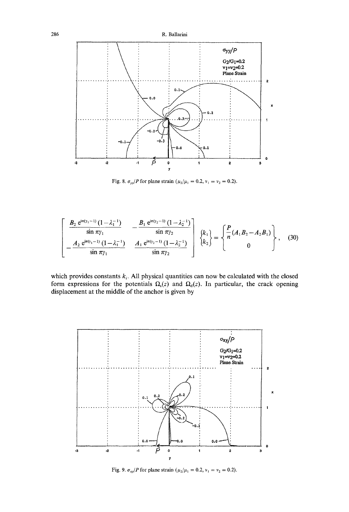

Fig. 8.  $\sigma_{yy}/P$  for plane strain ( $\mu_2/\mu_1 = 0.2$ ,  $v_1 = v_2 = 0.2$ ).

$$
\begin{bmatrix}\n\underline{B_2 e^{i\pi(\gamma_1 - 1)} (1 - \lambda_1^{-1})} & -\frac{B_1 e^{i\pi(\gamma_2 - 1)} (1 - \lambda_2^{-1})}{\sin \pi \gamma_2} \\
-\frac{A_2 e^{i\pi(\gamma_1 - 1)} (1 - \lambda_1^{-1})}{\sin \pi \gamma_1} & \frac{A_1 e^{i\pi(\gamma_2 - 1)} (1 - \lambda_2^{-1})}{\sin \pi \gamma_2}\n\end{bmatrix}\n\begin{Bmatrix}\nk_1 \\
k_2\n\end{Bmatrix}\n=\n\begin{Bmatrix}\nP \\
\pi(A_1 B_2 - A_2 B_1) \\
0\n\end{Bmatrix},
$$
\n(30)

which provides constants  $k_i$ . All physical quantities can now be calculated with the closed form expressions for the potentials  $\Omega_s(z)$  and  $\Omega_d(z)$ . In particular, the crack opening displacement at the middle of the anchor is given by



Fig. 9.  $\sigma_{xy}/P$  for plane strain  $(\mu_2/\mu_1 = 0.2, \nu_1 = \nu_2 = 0.2)$ .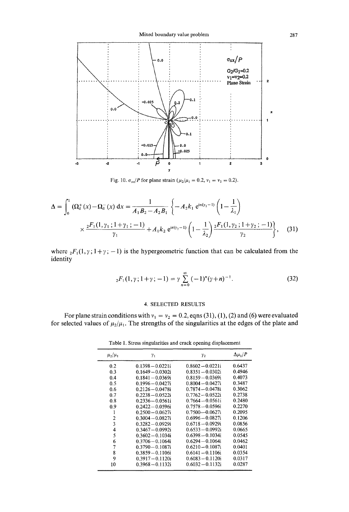

Fig. 10.  $\sigma_{xx}/P$  for plane strain ( $\mu_2/\mu_1 = 0.2$ ,  $v_1 = v_2 = 0.2$ ).

$$
\Delta = \int_0^1 \left( \Omega_d^+(x) - \Omega_d^-(x) \right) dx = \frac{1}{A_1 B_2 - A_2 B_1} \left\{ -A_2 k_1 e^{i\pi(\gamma_1 - 1)} \left( 1 - \frac{1}{\lambda_1} \right) \right.
$$
  
 
$$
\times \frac{{}_2 F_1(1, \gamma_1; 1 + \gamma_1; -1)}{\gamma_1} + A_1 k_2 e^{i\pi(\gamma_2 - 1)} \left( 1 - \frac{1}{\lambda_2} \right) \frac{{}_2 F_1(1, \gamma_2; 1 + \gamma_2; -1)}{\gamma_2} \right\}, \quad (31)
$$

where  ${}_2F_1(1, \gamma; 1 + \gamma; -1)$  is the hypergeometric function that can be calculated from the identity

$$
{}_2F_1(1,\gamma;1+\gamma;-1) = \gamma \sum_{n=0}^{\infty} (-1)^n (\gamma+n)^{-1}.
$$
 (32)

# 4. SELECTED RESULTS

For plane strain conditions with  $v_1 = v_2 = 0.2$ , eqns (31), (1), (2) and (6) were evaluated for selected values of  $\mu_2/\mu_1$ . The strengths of the singularities at the edges of the plate and

Table 1. Stress singularities and crack opening displacement

| $\mu_2/\mu_1$ | $\gamma_1$          | $\gamma_2$          | $\Delta \mu_1/P$ |
|---------------|---------------------|---------------------|------------------|
| 0.2           | $0.1398 - 0.0221$ i | $0.8602 - 0.0221$ i | 0.6437           |
| 0.3           | $0.1649 - 0.0302i$  | $0.8351 - 0.0302i$  | 0.4946           |
| 0.4           | $0.1841 - 0.0369$ i | $0.8159 - 0.0369$ i | 0.4073           |
| 0.5           | $0.1996 - 0.0427$ i | $0.8004 - 0.0427$ i | 0.3487           |
| 0.6           | $0.2126 - 0.0478$ i | $0.7874 - 0.0478$ i | 0.3062           |
| 0.7           | $0.2238 - 0.0522i$  | $0.7762 - 0.0522i$  | 0.2738           |
| 0.8           | $0.2336 - 0.0561i$  | $0.7664 - 0.0561$ i | 0.2480           |
| 0.9           | $0.2422 - 0.0596$ i | $0.7578 - 0.0596$ i | 0.2270           |
| 1             | $0.2500 - 0.0627i$  | $0.7500 - 0.0627$ i | 0.2095           |
| 2             | $0.3004 - 0.0827$ i | $0.6996 - 0.0827$ i | 0.1206           |
| 3             | $0.3282 - 0.0929$ i | $0.6718 - 0.0929$ i | 0.0856           |
| 4             | $0.3467 - 0.0992i$  | $0.6533 - 0.0992i$  | 0.0665           |
| 5             | $0.3602 - 0.1034$ i | $0.6398 - 0.1034$ i | 0.0545           |
| 6             | $0.3706 - 0.1064$ i | $0.6294 - 0.1064$ i | 0.0462           |
| 7             | $0.3790 - 0.1087$ i | $0.6210 - 0.1087$ i | 0.0401           |
| 8             | $0.3859 - 0.1106$ i | $0.6141 - 0.1106$ i | 0.0354           |
| 9             | $0.3917 - 0.1120$ i | $0.6083 - 0.1120$ i | 0.0317           |
| 10            | $0.3968 - 0.1132$ i | $0.6032 - 0.1132i$  | 0.0287           |
|               |                     |                     |                  |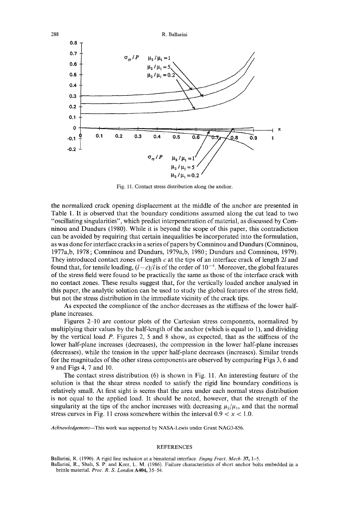

Fig. 11. Contact stress distribution along the anchor.

the normalized crack opening displacement at the middle of the anchor are presented in Table 1. It is observed that the boundary conditions assumed along the cut lead to two "oscillating singularities", which predict interpenetration of material, as discussed by Comninou and Dundurs (1980). While it is beyond the scope of this paper, this contradiction can be avoided by requiring that certain inequalities be incorporated into the formulation, as was done for interface cracks in a series of papers by Comninou and Dundurs (Comninou, 1977a,b, 1978; Comninou and Dundurs, 1979a,b, 1980; Dundurs and Comninou, 1979). They introduced contact zones of length  $c$  at the tips of an interface crack of length 2l and found that, for tensile loading,  $(l-c)/l$  is of the order of  $10^{-4}$ . Moreover, the global features of the stress field were found to be practically the same as those of the interface crack with no contact zones. These results suggest that, for the vertically loaded anchor analysed in this paper, the analytic solution can be used to study the global features of the stress field, but not the stress distribution in the immediate vicinity of the crack tips.

As expected the compliance of the anchor decreases as the stiffness of the lower halfplane increases.

Figures 2-10 are contour plots of the Cartesian stress components, normalized by multiplying their values by the half-length of the anchor (which is equal to 1), and dividing by the vertical load P. Figures 2, 5 and 8 show, as expected, that as the stiffness of the lower half-plane increases (decreases), the compression in the lower half-plane increases (decreases), while the tension in the upper half-plane decreases (increases). Similar trends for the magnitudes of the other stress components are observed by comparing Figs 3, 6 and 9 and Figs 4, 7 and 10.

The contact stress distribution (6) is shown in Fig. 11. An interesting feature of the solution is that the shear stress needed to satisfy the rigid line boundary conditions is relatively small. At first sight is seems that the area under each normal stress distribution is not equal to the applied load. It should be noted, however, that the strength of the singularity at the tips of the anchor increases with decreasing  $\mu_2/\mu_1$ , and that the normal stress curves in Fig. 11 cross somewhere within the interval  $0.9 < x < 1.0$ .

*Acknowledgement--This* work was supported by NASA-Lewis under Grant NAG3-856.

### REFERENCES

Ballarini, R. (1990). A rigid line inclusion at a bimaterial interface. *Engng Fract. Mech.* 37, 1–5. Ballarini, R., Shah, S. P. and Keer, L. M. (1986). Failure characteristics of short anchor bolts embedded in a brittle material. *Proc. R. S. London* A404, 35-54.